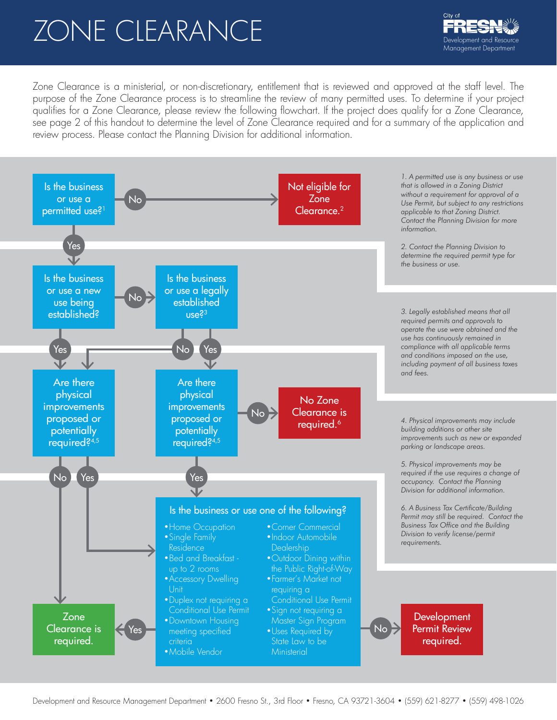## ZONE CLEARANCE



Zone Clearance is a ministerial, or non-discretionary, entitlement that is reviewed and approved at the staff level. The purpose of the Zone Clearance process is to streamline the review of many permitted uses. To determine if your project qualifies for a Zone Clearance, please review the following flowchart. If the project does qualify for a Zone Clearance, see page 2 of this handout to determine the level of Zone Clearance required and for a summary of the application and review process. Please contact the Planning Division for additional information.